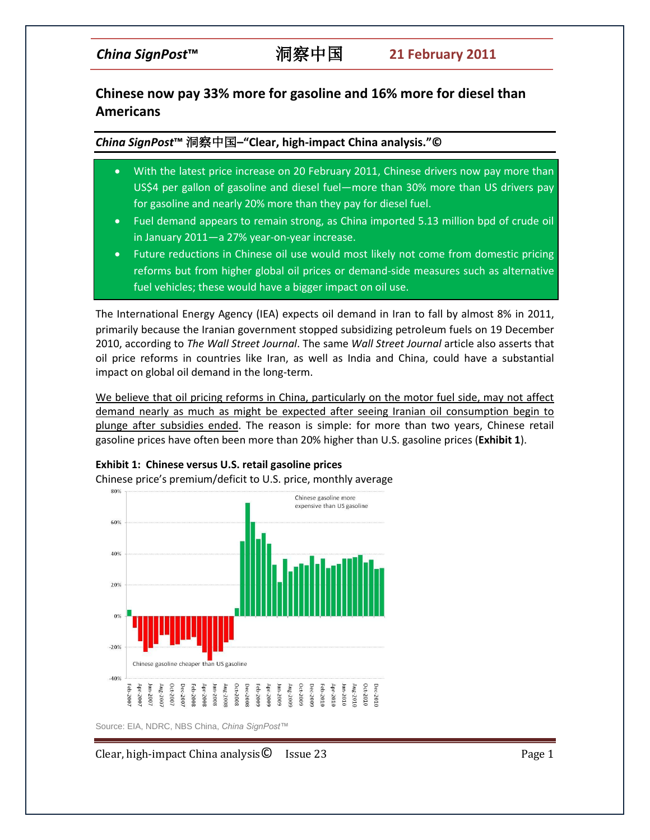# **Chinese now pay 33% more for gasoline and 16% more for diesel than Americans**

# *China SignPost***™** 洞察中国**–"Clear, high-impact China analysis."©**

- With the latest price increase on 20 February 2011, Chinese drivers now pay more than US\$4 per gallon of gasoline and diesel fuel—more than 30% more than US drivers pay for gasoline and nearly 20% more than they pay for diesel fuel.
- Fuel demand appears to remain strong, as China imported 5.13 million bpd of crude oil in January 2011—a 27% year-on-year increase.
- Future reductions in Chinese oil use would most likely not come from domestic pricing reforms but from higher global oil prices or demand-side measures such as alternative fuel vehicles; these would have a bigger impact on oil use.

The International Energy Agency (IEA) expects oil demand in Iran to fall by almost 8% in 2011, primarily because the Iranian government stopped subsidizing petroleum fuels on 19 December 2010, according to *The Wall Street Journal*. The same *Wall Street Journal* article also asserts that oil price reforms in countries like Iran, as well as India and China, could have a substantial impact on global oil demand in the long-term.

We believe that oil pricing reforms in China, particularly on the motor fuel side, may not affect demand nearly as much as might be expected after seeing Iranian oil consumption begin to plunge after subsidies ended. The reason is simple: for more than two years, Chinese retail gasoline prices have often been more than 20% higher than U.S. gasoline prices (**Exhibit 1**).



**Exhibit 1: Chinese versus U.S. retail gasoline prices** 

Chinese price's premium/deficit to U.S. price, monthly average

Source: EIA, NDRC, NBS China, *China SignPost™*

Clear, high-impact China analysis C Issue 23 Page 1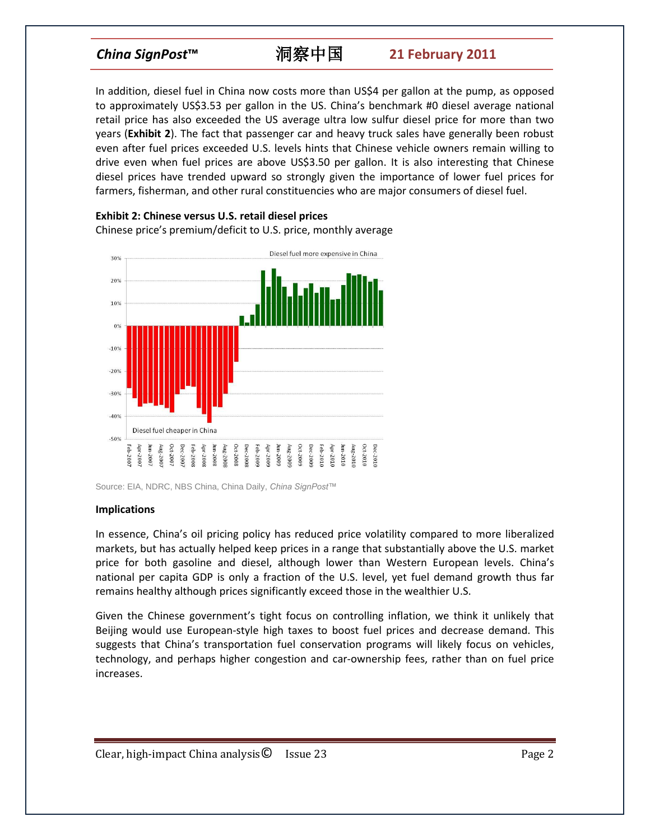In addition, diesel fuel in China now costs more than US\$4 per gallon at the pump, as opposed to approximately US\$3.53 per gallon in the US. China's benchmark #0 diesel average national retail price has also exceeded the US average ultra low sulfur diesel price for more than two years (**Exhibit 2**). The fact that passenger car and heavy truck sales have generally been robust even after fuel prices exceeded U.S. levels hints that Chinese vehicle owners remain willing to drive even when fuel prices are above US\$3.50 per gallon. It is also interesting that Chinese diesel prices have trended upward so strongly given the importance of lower fuel prices for farmers, fisherman, and other rural constituencies who are major consumers of diesel fuel.



**Exhibit 2: Chinese versus U.S. retail diesel prices** Chinese price's premium/deficit to U.S. price, monthly average

### **Implications**

In essence, China's oil pricing policy has reduced price volatility compared to more liberalized markets, but has actually helped keep prices in a range that substantially above the U.S. market price for both gasoline and diesel, although lower than Western European levels. China's national per capita GDP is only a fraction of the U.S. level, yet fuel demand growth thus far remains healthy although prices significantly exceed those in the wealthier U.S.

Given the Chinese government's tight focus on controlling inflation, we think it unlikely that Beijing would use European-style high taxes to boost fuel prices and decrease demand. This suggests that China's transportation fuel conservation programs will likely focus on vehicles, technology, and perhaps higher congestion and car-ownership fees, rather than on fuel price increases.

Source: EIA, NDRC, NBS China, China Daily, *China SignPost™*